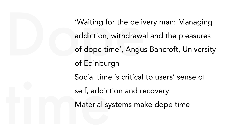Waiting for the delivery m<br>addiction, withdrawal and<br>of dope time', Angus Band<br>of Edinburgh Social antice<br>
self, addict<br>
Material sy 'Waiting for the delivery man: Managing addiction, withdrawal and the pleasures of dope time', Angus Bancroft, University of Edinburgh Social time is critical to users' sense of self, addiction and recovery Material systems make dope time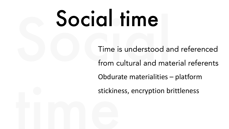# Social time

**Social time**<br>Time is understood and ref<br>from cultural and material is stickine<br>Exploration of the stickine<br>Exploration of the stickine Time is understood and referenced from cultural and material referents Obdurate materialities – platform

stickiness, encryption brittleness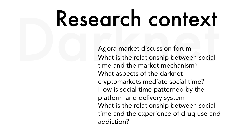## Research context

Agora market discussion forum What is the relationship between social time and the market mechanism? What aspects of the darknet cryptomarkets mediate social time? How is social time patterned by the platform and delivery system What is the relationship between social time and the experience of drug use and addiction?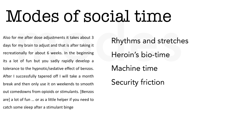### modes Modes of social time

Also for me after dose adjustments it takes about 3 days for my brain to adjust and that is after taking it recreationally for about 6 weeks. In the beginning its a lot of fun but you sadly rapidly develop a tolerance to the hypnotic/sedative effect of benzos. After I successfully tapered off I will take a month break and then only use it on weekends to smooth out comedowns from opioids or stimulants. [Benzos are] a lot of fun … or as a little helper if you need to catch some sleep after a stimulant binge

Rhythms and stretches Heroin's bio-time Machine time Security friction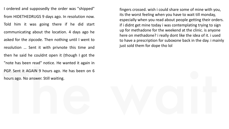The wait I ordered and supposedly the order was "shipped" from HIDETHEDRUGS 9 days ago. In resolution now. Told him it was going there if he did start communicating about the location. 4 days ago he asked for the zipcode. Then nothing until I went to resolution … Sent it with privnote this time and then he said he couldnt open it (though I got the "note has been read" notice. He wanted it again in PGP. Sent it AGAIN 9 hours ago. He has been on 6 hours ago. No answer. Still waiting.

fingers crossed. wish i could share some of mine with you, its the worst feeling when you have to wait till monday, especially when you read about people getting their orders. if i didnt get mine today i was contemplating trying to sign up for methadone for the weekend at the clinic. is anyone here on methadone? i really dont like the idea of it. i used to have a prescription for suboxone back in the day. i mainly just sold them for dope tho lol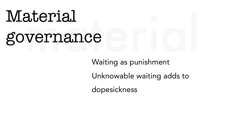# Material<br>governance governance

Waiting as punishment Unknowable waiting adds to dopesickness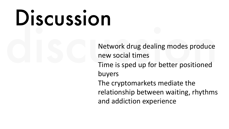# Discussion

Network drug dealing modes produce new social times Time is sped up for better positioned buyers The cryptomarkets mediate the relationship between waiting, rhythms and addiction experience